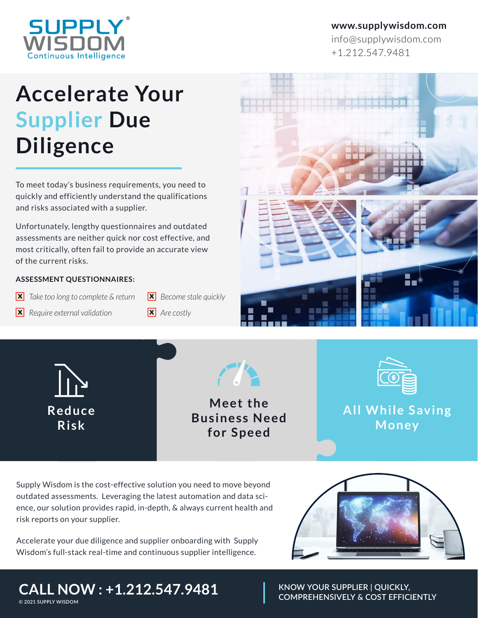

### **www.supplywisdom.com**

info@supplywisdom.com +1.212.547.9481

# **Accelerate Your Supplier Due Diligence**

To meet today's business requirements, you need to quickly and efficiently understand the qualifications and risks associated with a supplier.

Unfortunately, lengthy questionnaires and outdated assessments are neither quick nor cost effective, and most critically, often fail to provide an accurate view of the current risks.

#### **ASSESSMENT QUESTIONNAIRES:**

- **X** Take too long to complete & return **X** Become stale quickly
- *X Require external validation X Are costly*
- -



**R e d u c e R i s k** 

**Meet the Business Need** for Speed

**PARTIES** 



**All While Saving Money**

Supply Wisdom is the cost-effective solution you need to move beyond outdated assessments. Leveraging the latest automation and data science, our solution provides rapid, in-depth, & always current health and risk reports on your supplier.

Accelerate your due diligence and supplier onboarding with Supply Wisdom's full-stack real-time and continuous supplier intelligence.



**KNOW YOUR SUPPLIER | QUICKLY, COMPREHENSIVELY & COST EFFICIENTLY**

# **CALL NOW : +1.212.547.9481**

**©️ 2021 SUPPLY WISDOM**